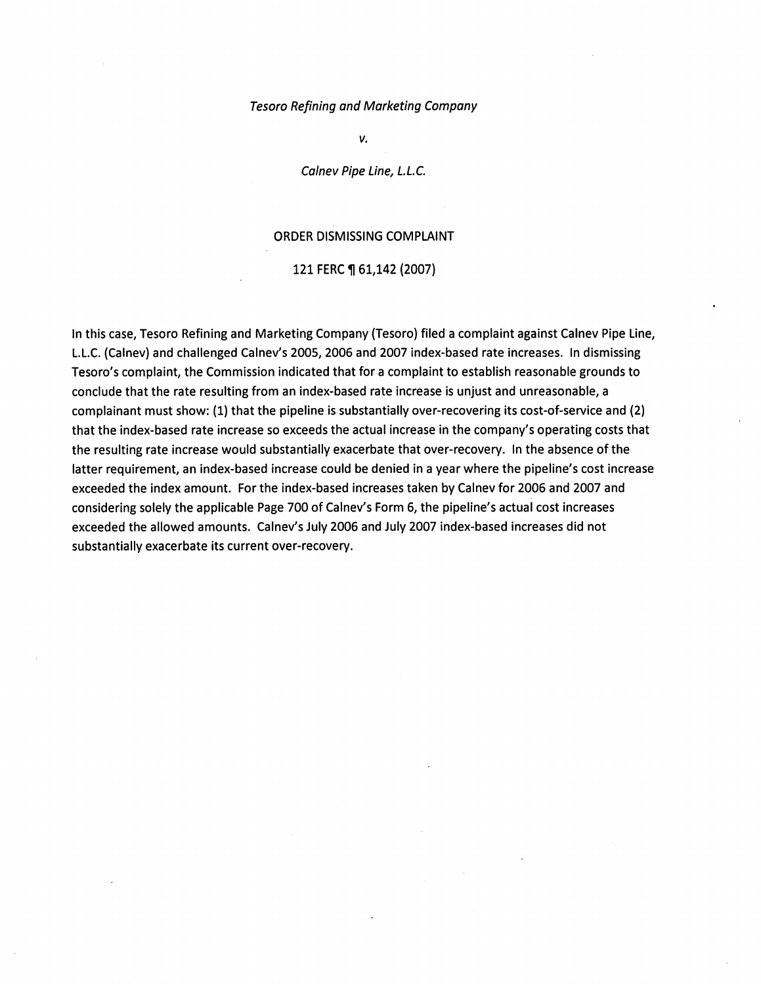#### Tesoro Refining and Marketing Company

*v.* 

Calnev Pipe Line, L.L.C.

#### ORDER DISMISSING COMPLAINT

#### 121 FERC ¶ 61,142 (2007)

In this case, Tesoro Refining and Marketing Company (Tesoro) filed a complaint against Calnev Pipe line, L.l.C. (Calnev) and challenged Calnev's 2005, 2006 and 2007 index-based rate increases. In dismissing Tesoro's complaint, the Commission indicated that for a complaint to establish reasonable grounds to conclude that the rate resulting from an index-based rate increase is unjust and unreasonable, a complainant must show: {1) that the pipeline is substantially over-recovering its cost-of-service and {2) that the index-based rate increase so exceeds the actual increase in the company's operating costs that the resulting rate increase would substantially exacerbate that over-recovery. In the absence of the latter requirement, an index-based increase could be denied in a year where the pipeline's cost increase exceeded the index amount. For the index-based increases taken by Calnev for 2006 and 2007 and considering solely the applicable Page 700 of Calnev's Form 6, the pipeline's actual cost increases exceeded the allowed amounts. Calnev's July 2006 and July 2007 index-based increases did not substantially exacerbate its current over-recovery.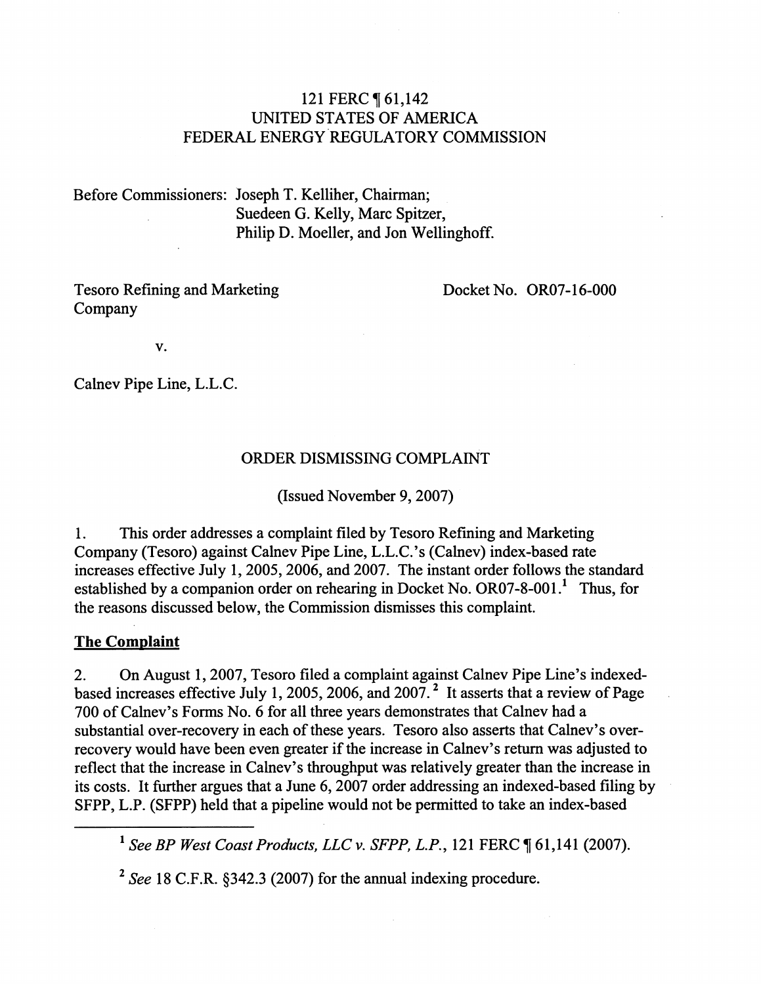### 121 FERC ¶ 61,142 UNITED STATES OF AMERICA FEDERAL ENERGY REGULATORY COMMISSION

Before Commissioners: Joseph T. Kelliher, Chairman; Suedeen G. Kelly, Marc Spitzer, Philip D. Moeller, and Jon Wellinghoff.

Tesoro Refining and Marketing Company

Docket No. OR07-16-000

v.

Calnev Pipe Line, L.L.C.

## ORDER DISMISSING COMPLAINT

(Issued November 9, 2007)

1. This order addresses a complaint filed by Tesoro Refining and Marketing Company (Tesoro) against Calnev Pipe Line, L.L.C.'s (Calnev) index-based rate increases effective July 1, 2005, 2006, and 2007. The instant order follows the standard established by a companion order on rehearing in Docket No. OR07-8-001.<sup>1</sup> Thus, for the reasons discussed below, the Commission dismisses this complaint.

### **The Complaint**

2. On August 1, 2007, Tesoro filed a complaint against Calnev Pipe Line's indexedbased increases effective July 1, 2005, 2006, and 2007.<sup>2</sup> It asserts that a review of Page 700 of Calnev's Forms No. 6 for all three years demonstrates that Calnev had a substantial over-recovery in each of these years. Tesoro also asserts that Calnev's overrecovery would have been even greater if the increase in Calnev's return was adjusted to reflect that the increase in Calnev's throughput was relatively greater than the increase in its costs. It further argues that a June 6, 2007 order addressing an indexed-based filing by SFPP, L.P. (SFPP) held that a pipeline would not be permitted to take an index-based

<sup>1</sup> See BP West Coast Products, LLC v. SFPP, L.P., 121 FERC ¶ 61,141 (2007).

2 *See* 18 C.F.R. §342.3 (2007) for the annual indexing procedure.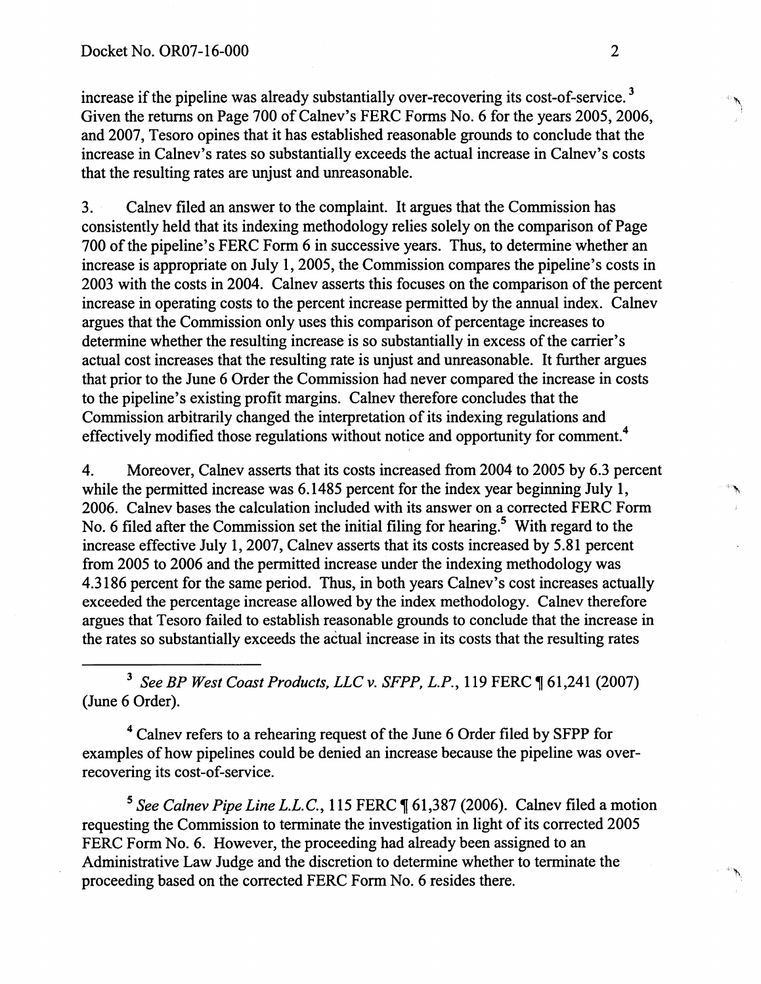increase if the pipeline was already substantially over-recovering its cost-of-service.<sup>3</sup> Given the returns on Page 700 of Calney's FERC Forms No. 6 for the years 2005, 2006, and 2007, Tesoro opines that it has established reasonable grounds to conclude that the increase in Calnev's rates so substantially exceeds the actual increase in Calnev's costs that the resulting rates are unjust and unreasonable.

3. Calnev filed an answer to the complaint. It argues that the Commission has consistently held that its indexing methodology relies solely on the comparison of Page 700 of the pipeline's FERC Form 6 in successive years. Thus, to determine whether an increase is appropriate on July 1, 2005, the Commission compares the pipeline's costs in 2003 with the costs in 2004. Calnev asserts this focuses on the comparison of the percent increase in operating costs to the percent increase permitted by the annual index. Calnev argues that the Commission only uses this comparison of percentage increases to determine whether the resulting increase is so substantially in excess of the carrier's actual cost increases that the resulting rate is unjust and unreasonable. It further argues that prior to the June 6 Order the Commission had never compared the increase in costs to the pipeline's existing profit margins. Calnev therefore concludes that the Commission arbitrarily changed the interpretation of its indexing regulations and effectively modified those regulations without notice and opportunity for comment.<sup>4</sup>

4. Moreover, Calnev asserts that its costs increased from 2004 to 2005 by 6.3 percent while the permitted increase was  $6.1485$  percent for the index year beginning July 1, 2006. Calnev bases the calculation included with its answer on a corrected FERC Form No. 6 filed after the Commission set the initial filing for hearing.<sup>5</sup> With regard to the increase effective July 1, 2007, Calnev asserts that its costs increased by 5.81 percent from 2005 to 2006 and the permitted increase under the indexing methodology was 4.3186 percent for the same period. Thus, in both years Calnev's cost increases actually exceeded the percentage increase allowed by the index methodology. Calnev therefore argues that Tesoro failed to establish reasonable grounds to conclude that the increase in the rates so substantially exceeds the actual increase in its costs that the resulting rates

<sup>3</sup> See BP West Coast Products, LLC v. SFPP, L.P., 119 FERC  $\P$  61,241 (2007) (June 6 Order).

<sup>4</sup> Calnev refers to a rehearing request of the June 6 Order filed by SFPP for examples of how pipelines could be denied an increase because the pipeline was overrecovering its cost-of-service.

<sup>5</sup> See Calnev Pipe Line L.L.C., 115 FERC ¶ 61,387 (2006). Calnev filed a motion requesting the Commission to terminate the investigation in light of its corrected 2005 FERC Form No. 6. However, the proceeding had already been assigned to an Administrative Law Judge and the discretion to determine whether to terminate the proceeding based on the corrected FERC Form No. 6 resides there.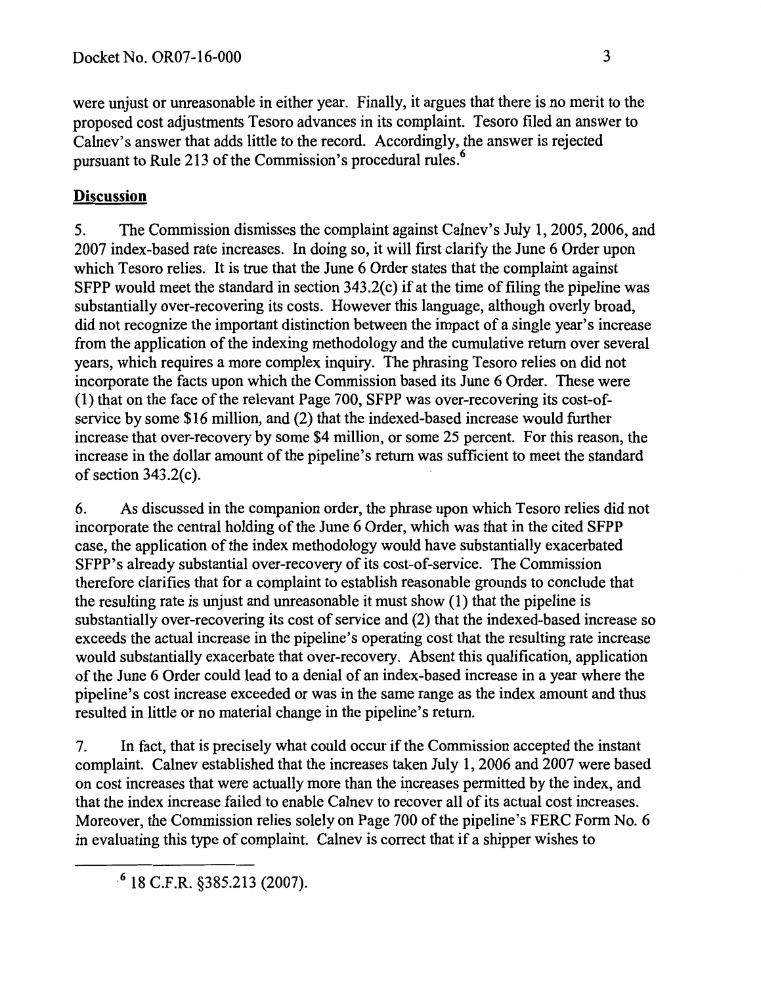were unjust or unreasonable in either year. Finally, it argues that there is no merit to the proposed cost adjustments Tesoro advances in its complaint. Tesoro filed an answer to Calnev's answer that adds little to the record. Accordingly, the answer is rejected pursuant to Rule 213 of the Commission's procedural rules.<sup>6</sup>

# **Discussion**

5. The Commission dismisses the complaint against Calnev's July 1, 2005, 2006, and 2007 index-based rate increases. In doing so, it will first clarify the June 6 Order upon which Tesoro relies. It is true that the June 6 Order states that the complaint against SFPP would meet the standard in section 343.2(c) if at the time of filing the pipeline was substantially over-recovering its costs. However this language, although overly broad, did not recognize the important distinction between the impact of a single year's increase from the application of the indexing methodology and the cumulative return over several years, which requires a more complex inquiry. The phrasing Tesoro relies on did not incorporate the facts upon which the Commission based its June 6 Order. These were (1) that on the face of the relevant Page 700, SFPP was over-recovering its cost-ofservice by some \$16 million, and (2) that the indexed-based increase would further increase that over-recovery by some \$4 million, or some 25 percent. For this reason, the increase in the dollar amount of the pipeline's return was sufficient to meet the standard of section 343.2(c).

6. As discussed in the companion order, the phrase upon which Tesoro relies did not incorporate the central holding of the June 6 Order, which was that in the cited SFPP case, the application of the index methodology would have substantially exacerbated SFPP's already substantial over-recovery of its cost-of-service. The Commission therefore clarifies that for a complaint to establish reasonable grounds to conclude that the resulting rate is unjust and unreasonable it must show (1) that the pipeline is substantially over-recovering its cost of service and (2) that the indexed-based increase so exceeds the actual increase in the pipeline's operating cost that the resulting rate increase would substantially exacerbate that over-recovery. Absent this qualification, application of the June 6 Order could lead to a denial of an index-based increase in a year where the pipeline's cost increase exceeded or was in the same range as the index amount and thus resulted in little or no material change in the pipeline's return.

7. In fact, that is precisely what could occur if the Commission accepted the instant complaint. Calnev established that the increases taken July 1, 2006 and 2007 were based on cost increases that were actually more than the increases permitted by the index, and that the index increase failed to enable Calnev to recover all of its actual cost increases. Moreover, the Commission relies solely on Page 700 of the pipeline's FERC Form No.6 in evaluating this type of complaint. Calnev is correct that if a shipper wishes to

<sup>·</sup> 6 18 C.F.R. §385.213 (2007).